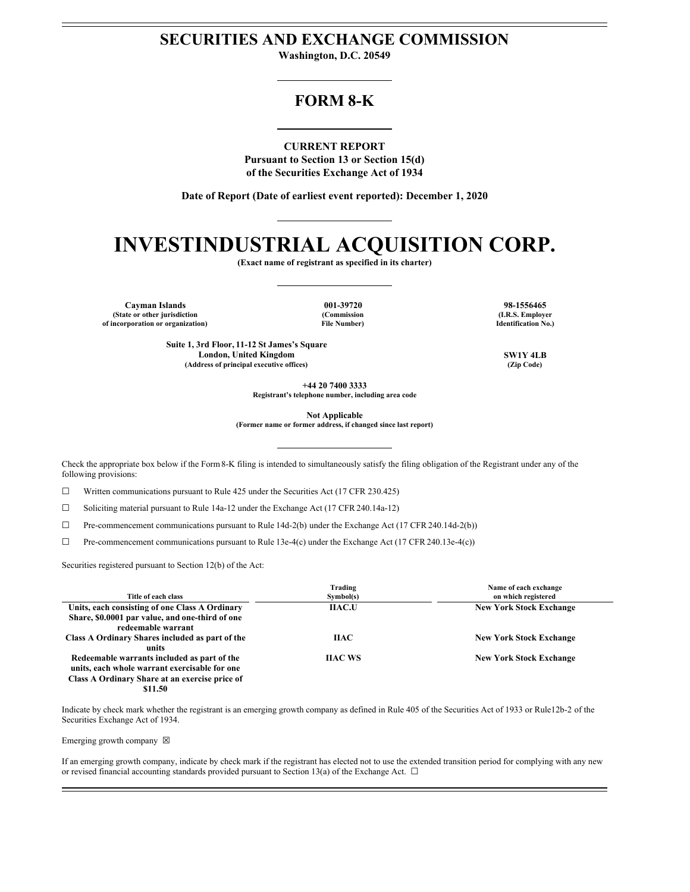## **SECURITIES AND EXCHANGE COMMISSION**

**Washington, D.C. 20549**

# **FORM 8-K**

**CURRENT REPORT Pursuant to Section 13 or Section 15(d) of the Securities Exchange Act of 1934**

**Date of Report (Date of earliest event reported): December 1, 2020**

# **INVESTINDUSTRIAL ACQUISITION CORP.**

**(Exact name of registrant as specified in its charter)**

**Cayman Islands 001-39720 98-1556465 (State or other jurisdiction of incorporation or organization)**

**(Commission File Number)**

**(I.R.S. Employer Identification No.)**

**Suite 1, 3rd Floor, 11-12 St James's Square London, United Kingdom SW1Y 4LB (Address of principal executive offices) (Zip Code)**

**+44 20 7400 3333**

**Registrant's telephone number, including area code**

**Not Applicable**

**(Former name or former address, if changed since last report)**

Check the appropriate box below if the Form8-K filing is intended to simultaneously satisfy the filing obligation of the Registrant under any of the following provisions:

 $\Box$  Written communications pursuant to Rule 425 under the Securities Act (17 CFR 230.425)

☐ Soliciting material pursuant to Rule 14a-12 under the Exchange Act (17 CFR 240.14a-12)

☐ Pre-commencement communications pursuant to Rule 14d-2(b) under the Exchange Act (17 CFR 240.14d-2(b))

 $\Box$  Pre-commencement communications pursuant to Rule 13e-4(c) under the Exchange Act (17 CFR 240.13e-4(c))

Securities registered pursuant to Section 12(b) of the Act:

| Title of each class                                                                                                                                       | Trading<br>Symbol(s) | Name of each exchange<br>on which registered |
|-----------------------------------------------------------------------------------------------------------------------------------------------------------|----------------------|----------------------------------------------|
| Units, each consisting of one Class A Ordinary<br>Share, \$0.0001 par value, and one-third of one<br>redeemable warrant                                   | <b>IIAC.U</b>        | <b>New York Stock Exchange</b>               |
| Class A Ordinary Shares included as part of the<br>units                                                                                                  | <b>HAC</b>           | <b>New York Stock Exchange</b>               |
| Redeemable warrants included as part of the<br>units, each whole warrant exercisable for one<br>Class A Ordinary Share at an exercise price of<br>\$11.50 | <b>HAC WS</b>        | <b>New York Stock Exchange</b>               |

Indicate by check mark whether the registrant is an emerging growth company as defined in Rule 405 of the Securities Act of 1933 or Rule12b-2 of the Securities Exchange Act of 1934.

Emerging growth company  $\boxtimes$ 

If an emerging growth company, indicate by check mark if the registrant has elected not to use the extended transition period for complying with any new or revised financial accounting standards provided pursuant to Section 13(a) of the Exchange Act.  $\Box$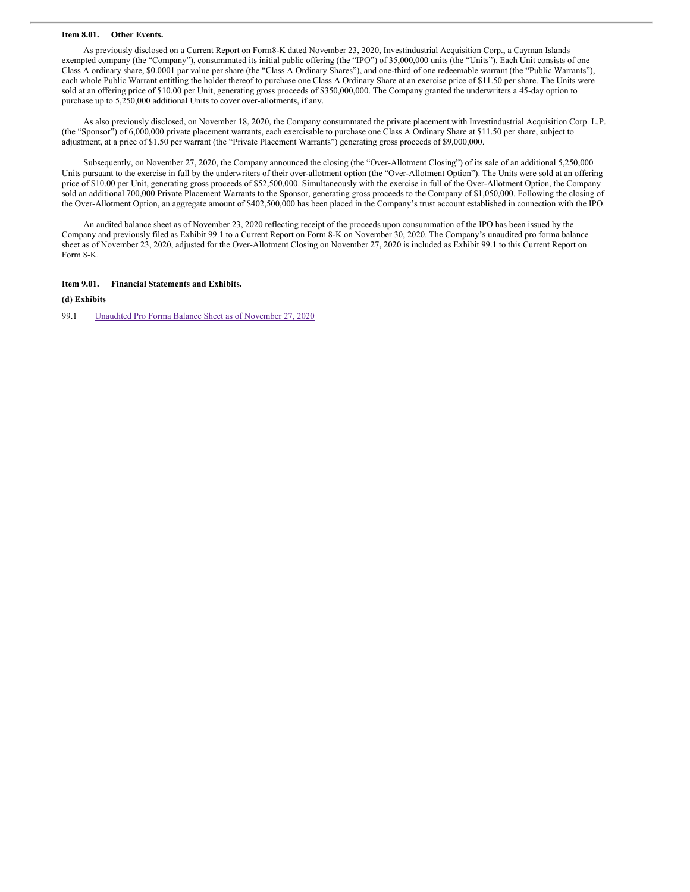#### **Item 8.01. Other Events.**

As previously disclosed on a Current Report on Form8-K dated November 23, 2020, Investindustrial Acquisition Corp., a Cayman Islands exempted company (the "Company"), consummated its initial public offering (the "IPO") of 35,000,000 units (the "Units"). Each Unit consists of one Class A ordinary share, \$0.0001 par value per share (the "Class A Ordinary Shares"), and one-third of one redeemable warrant (the "Public Warrants"), each whole Public Warrant entitling the holder thereof to purchase one Class A Ordinary Share at an exercise price of \$11.50 per share. The Units were sold at an offering price of \$10.00 per Unit, generating gross proceeds of \$350,000,000. The Company granted the underwriters a 45-day option to purchase up to 5,250,000 additional Units to cover over-allotments, if any.

As also previously disclosed, on November 18, 2020, the Company consummated the private placement with Investindustrial Acquisition Corp. L.P. (the "Sponsor") of 6,000,000 private placement warrants, each exercisable to purchase one Class A Ordinary Share at \$11.50 per share, subject to adjustment, at a price of \$1.50 per warrant (the "Private Placement Warrants") generating gross proceeds of \$9,000,000.

Subsequently, on November 27, 2020, the Company announced the closing (the "Over-Allotment Closing") of its sale of an additional 5,250,000 Units pursuant to the exercise in full by the underwriters of their over-allotment option (the "Over-Allotment Option"). The Units were sold at an offering price of \$10.00 per Unit, generating gross proceeds of \$52,500,000. Simultaneously with the exercise in full of the Over-Allotment Option, the Company sold an additional 700,000 Private Placement Warrants to the Sponsor, generating gross proceeds to the Company of \$1,050,000. Following the closing of the Over-Allotment Option, an aggregate amount of \$402,500,000 has been placed in the Company's trust account established in connection with the IPO.

An audited balance sheet as of November 23, 2020 reflecting receipt of the proceeds upon consummation of the IPO has been issued by the Company and previously filed as Exhibit 99.1 to a Current Report on Form 8-K on November 30, 2020. The Company's unaudited pro forma balance sheet as of November 23, 2020, adjusted for the Over-Allotment Closing on November 27, 2020 is included as Exhibit 99.1 to this Current Report on Form 8-K.

#### **Item 9.01. Financial Statements and Exhibits.**

#### **(d) Exhibits**

99.1 Unaudited Pro Forma Balance Sheet as of [November](#page-4-0) 27, 2020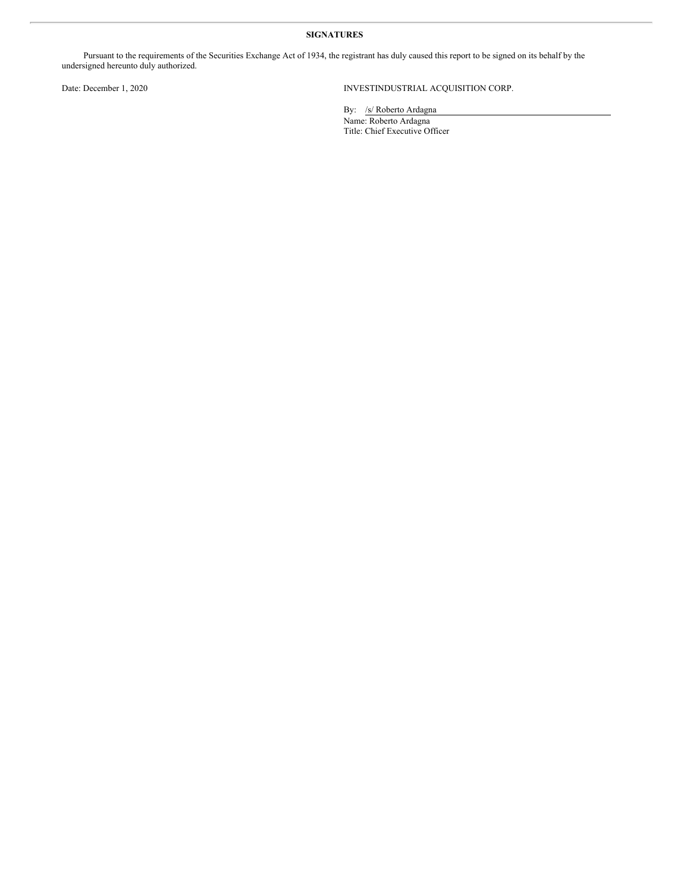## **SIGNATURES**

Pursuant to the requirements of the Securities Exchange Act of 1934, the registrant has duly caused this report to be signed on its behalf by the undersigned hereunto duly authorized.

## Date: December 1, 2020 INVESTINDUSTRIAL ACQUISITION CORP.

By: /s/ Roberto Ardagna Name: Roberto Ardagna Title: Chief Executive Officer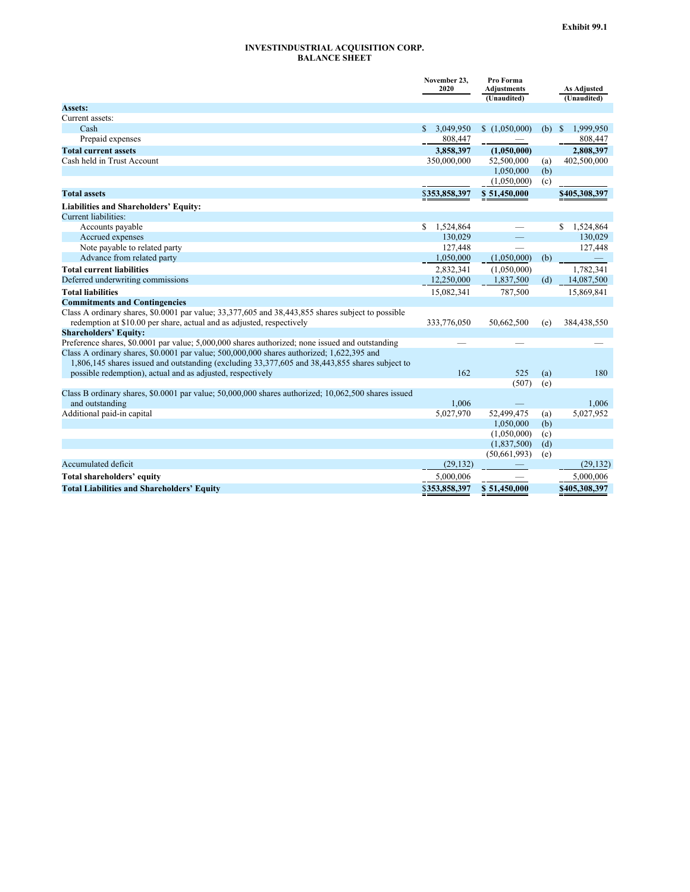#### **INVESTINDUSTRIAL ACQUISITION CORP. BALANCE SHEET**

|                                                                                                     | November 23,<br>2020 | Pro Forma<br><b>Adjustments</b> |            | As Adjusted     |
|-----------------------------------------------------------------------------------------------------|----------------------|---------------------------------|------------|-----------------|
|                                                                                                     |                      | (Unaudited)                     |            | (Unaudited)     |
| <b>Assets:</b>                                                                                      |                      |                                 |            |                 |
| Current assets:                                                                                     |                      |                                 |            |                 |
| Cash                                                                                                | 3,049,950<br>S.      | \$(1,050,000)                   | (b)        | 1,999,950<br>-S |
| Prepaid expenses                                                                                    | 808,447              |                                 |            | 808,447         |
| <b>Total current assets</b>                                                                         | 3,858,397            | (1,050,000)                     |            | 2,808,397       |
| Cash held in Trust Account                                                                          | 350,000,000          | 52,500,000                      | (a)        | 402,500,000     |
|                                                                                                     |                      | 1,050,000                       | (b)        |                 |
|                                                                                                     |                      | (1,050,000)                     | (c)        |                 |
| <b>Total assets</b>                                                                                 | \$353,858,397        | \$51,450,000                    |            | \$405,308,397   |
| <b>Liabilities and Shareholders' Equity:</b>                                                        |                      |                                 |            |                 |
| Current liabilities:                                                                                |                      |                                 |            |                 |
| Accounts payable                                                                                    | 1,524,864<br>S.      |                                 |            | S.<br>1,524,864 |
| Accrued expenses                                                                                    | 130,029              |                                 |            | 130,029         |
| Note payable to related party                                                                       | 127,448              |                                 |            | 127,448         |
| Advance from related party                                                                          | 1,050,000            | (1,050,000)                     | (b)        |                 |
| <b>Total current liabilities</b>                                                                    | 2,832,341            | (1,050,000)                     |            | 1,782,341       |
| Deferred underwriting commissions                                                                   | 12,250,000           | 1,837,500                       | (d)        | 14,087,500      |
| <b>Total liabilities</b>                                                                            | 15,082,341           | 787,500                         |            | 15,869,841      |
| <b>Commitments and Contingencies</b>                                                                |                      |                                 |            |                 |
| Class A ordinary shares, \$0.0001 par value; 33,377,605 and 38,443,855 shares subject to possible   |                      |                                 |            |                 |
| redemption at \$10.00 per share, actual and as adjusted, respectively                               | 333,776,050          | 50,662,500                      | (e)        | 384,438,550     |
| <b>Shareholders' Equity:</b>                                                                        |                      |                                 |            |                 |
| Preference shares, \$0.0001 par value; 5,000,000 shares authorized; none issued and outstanding     |                      |                                 |            |                 |
| Class A ordinary shares, \$0.0001 par value; 500,000,000 shares authorized; 1,622,395 and           |                      |                                 |            |                 |
| 1,806,145 shares issued and outstanding (excluding 33,377,605 and 38,443,855 shares subject to      |                      |                                 |            |                 |
| possible redemption), actual and as adjusted, respectively                                          | 162                  | 525                             | (a)        | 180             |
|                                                                                                     |                      | (507)                           | (e)        |                 |
| Class B ordinary shares, \$0.0001 par value; 50,000,000 shares authorized; 10,062,500 shares issued |                      |                                 |            |                 |
| and outstanding                                                                                     | 1.006                |                                 |            | 1,006           |
| Additional paid-in capital                                                                          | 5,027,970            | 52,499,475                      | (a)        | 5,027,952       |
|                                                                                                     |                      | 1,050,000                       | (b)        |                 |
|                                                                                                     |                      | (1,050,000)                     | (c)        |                 |
|                                                                                                     |                      | (1,837,500)<br>(50,661,993)     | (d)<br>(e) |                 |
| Accumulated deficit                                                                                 | (29, 132)            |                                 |            | (29, 132)       |
| Total shareholders' equity                                                                          | 5.000.006            |                                 |            | 5,000,006       |
| <b>Total Liabilities and Shareholders' Equity</b>                                                   | \$353,858,397        | \$51,450,000                    |            | \$405,308,397   |
|                                                                                                     |                      |                                 |            |                 |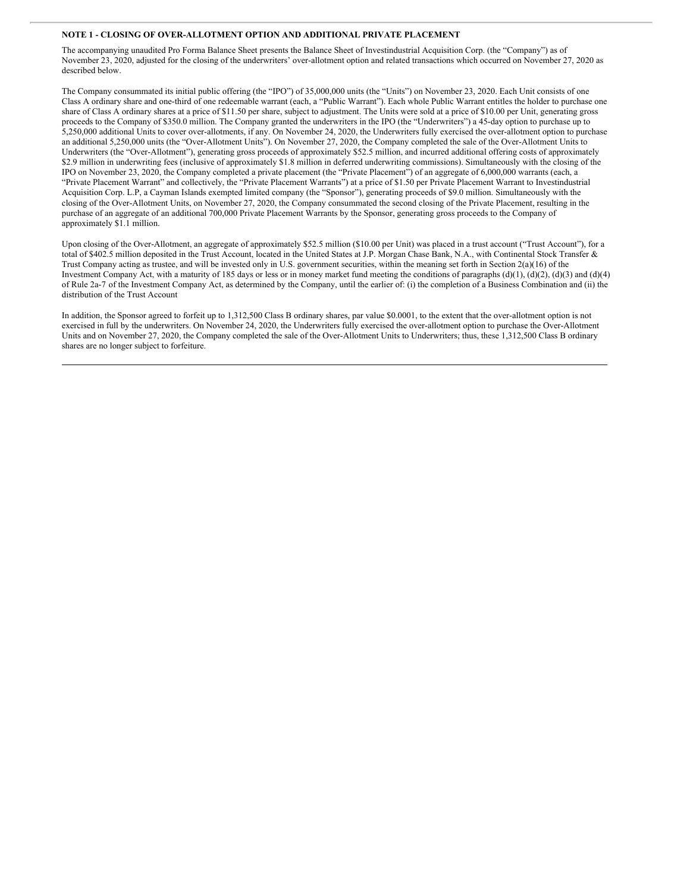#### <span id="page-4-0"></span>**NOTE 1 - CLOSING OF OVER-ALLOTMENT OPTION AND ADDITIONAL PRIVATE PLACEMENT**

The accompanying unaudited Pro Forma Balance Sheet presents the Balance Sheet of Investindustrial Acquisition Corp. (the "Company") as of November 23, 2020, adjusted for the closing of the underwriters' over-allotment option and related transactions which occurred on November 27, 2020 as described below.

The Company consummated its initial public offering (the "IPO") of 35,000,000 units (the "Units") on November 23, 2020. Each Unit consists of one Class A ordinary share and one-third of one redeemable warrant (each, a "Public Warrant"). Each whole Public Warrant entitles the holder to purchase one share of Class A ordinary shares at a price of \$11.50 per share, subject to adjustment. The Units were sold at a price of \$10.00 per Unit, generating gross proceeds to the Company of \$350.0 million. The Company granted the underwriters in the IPO (the "Underwriters") a 45-day option to purchase up to 5,250,000 additional Units to cover over-allotments, if any. On November 24, 2020, the Underwriters fully exercised the over-allotment option to purchase an additional 5,250,000 units (the "Over-Allotment Units"). On November 27, 2020, the Company completed the sale of the Over-Allotment Units to Underwriters (the "Over-Allotment"), generating gross proceeds of approximately \$52.5 million, and incurred additional offering costs of approximately \$2.9 million in underwriting fees (inclusive of approximately \$1.8 million in deferred underwriting commissions). Simultaneously with the closing of the IPO on November 23, 2020, the Company completed a private placement (the "Private Placement") of an aggregate of 6,000,000 warrants (each, a "Private Placement Warrant" and collectively, the "Private Placement Warrants") at a price of \$1.50 per Private Placement Warrant to Investindustrial Acquisition Corp. L.P, a Cayman Islands exempted limited company (the "Sponsor"), generating proceeds of \$9.0 million. Simultaneously with the closing of the Over-Allotment Units, on November 27, 2020, the Company consummated the second closing of the Private Placement, resulting in the purchase of an aggregate of an additional 700,000 Private Placement Warrants by the Sponsor, generating gross proceeds to the Company of approximately \$1.1 million.

Upon closing of the Over-Allotment, an aggregate of approximately \$52.5 million (\$10.00 per Unit) was placed in a trust account ("Trust Account"), for a total of \$402.5 million deposited in the Trust Account, located in the United States at J.P. Morgan Chase Bank, N.A., with Continental Stock Transfer & Trust Company acting as trustee, and will be invested only in U.S. government securities, within the meaning set forth in Section 2(a)(16) of the Investment Company Act, with a maturity of 185 days or less or in money market fund meeting the conditions of paragraphs  $(d)(1)$ ,  $(d)(2)$ ,  $(d)(3)$  and  $(d)(4)$ of Rule 2a-7 of the Investment Company Act, as determined by the Company, until the earlier of: (i) the completion of a Business Combination and (ii) the distribution of the Trust Account

In addition, the Sponsor agreed to forfeit up to 1,312,500 Class B ordinary shares, par value \$0.0001, to the extent that the over-allotment option is not exercised in full by the underwriters. On November 24, 2020, the Underwriters fully exercised the over-allotment option to purchase the Over-Allotment Units and on November 27, 2020, the Company completed the sale of the Over-Allotment Units to Underwriters; thus, these 1,312,500 Class B ordinary shares are no longer subject to forfeiture.